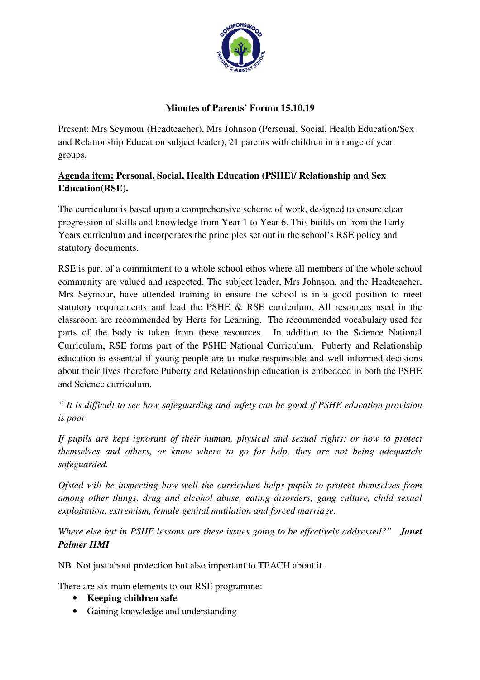

## **Minutes of Parents' Forum 15.10.19**

Present: Mrs Seymour (Headteacher), Mrs Johnson (Personal, Social, Health Education/Sex and Relationship Education subject leader), 21 parents with children in a range of year groups.

## **Agenda item: Personal, Social, Health Education (PSHE)/ Relationship and Sex Education(RSE).**

The curriculum is based upon a comprehensive scheme of work, designed to ensure clear progression of skills and knowledge from Year 1 to Year 6. This builds on from the Early Years curriculum and incorporates the principles set out in the school's RSE policy and statutory documents.

RSE is part of a commitment to a whole school ethos where all members of the whole school community are valued and respected. The subject leader, Mrs Johnson, and the Headteacher, Mrs Seymour, have attended training to ensure the school is in a good position to meet statutory requirements and lead the PSHE & RSE curriculum. All resources used in the classroom are recommended by Herts for Learning. The recommended vocabulary used for parts of the body is taken from these resources. In addition to the Science National Curriculum, RSE forms part of the PSHE National Curriculum. Puberty and Relationship education is essential if young people are to make responsible and well-informed decisions about their lives therefore Puberty and Relationship education is embedded in both the PSHE and Science curriculum.

*" It is difficult to see how safeguarding and safety can be good if PSHE education provision is poor.*

*If pupils are kept ignorant of their human, physical and sexual rights: or how to protect themselves and others, or know where to go for help, they are not being adequately safeguarded.*

*Ofsted will be inspecting how well the curriculum helps pupils to protect themselves from among other things, drug and alcohol abuse, eating disorders, gang culture, child sexual exploitation, extremism, female genital mutilation and forced marriage.*

*Where else but in PSHE lessons are these issues going to be effectively addressed?" Janet Palmer HMI*

NB. Not just about protection but also important to TEACH about it.

There are six main elements to our RSE programme:

- **Keeping children safe**
- Gaining knowledge and understanding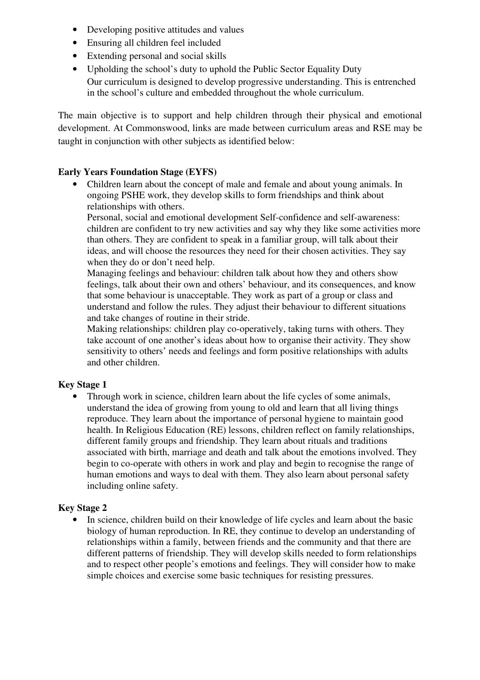- Developing positive attitudes and values
- Ensuring all children feel included
- Extending personal and social skills
- Upholding the school's duty to uphold the Public Sector Equality Duty Our curriculum is designed to develop progressive understanding. This is entrenched in the school's culture and embedded throughout the whole curriculum.

The main objective is to support and help children through their physical and emotional development. At Commonswood, links are made between curriculum areas and RSE may be taught in conjunction with other subjects as identified below:

#### **Early Years Foundation Stage (EYFS)**

• Children learn about the concept of male and female and about young animals. In ongoing PSHE work, they develop skills to form friendships and think about relationships with others.

Personal, social and emotional development Self-confidence and self-awareness: children are confident to try new activities and say why they like some activities more than others. They are confident to speak in a familiar group, will talk about their ideas, and will choose the resources they need for their chosen activities. They say when they do or don't need help.

Managing feelings and behaviour: children talk about how they and others show feelings, talk about their own and others' behaviour, and its consequences, and know that some behaviour is unacceptable. They work as part of a group or class and understand and follow the rules. They adjust their behaviour to different situations and take changes of routine in their stride.

Making relationships: children play co-operatively, taking turns with others. They take account of one another's ideas about how to organise their activity. They show sensitivity to others' needs and feelings and form positive relationships with adults and other children.

#### **Key Stage 1**

• Through work in science, children learn about the life cycles of some animals, understand the idea of growing from young to old and learn that all living things reproduce. They learn about the importance of personal hygiene to maintain good health. In Religious Education (RE) lessons, children reflect on family relationships, different family groups and friendship. They learn about rituals and traditions associated with birth, marriage and death and talk about the emotions involved. They begin to co-operate with others in work and play and begin to recognise the range of human emotions and ways to deal with them. They also learn about personal safety including online safety.

#### **Key Stage 2**

• In science, children build on their knowledge of life cycles and learn about the basic biology of human reproduction. In RE, they continue to develop an understanding of relationships within a family, between friends and the community and that there are different patterns of friendship. They will develop skills needed to form relationships and to respect other people's emotions and feelings. They will consider how to make simple choices and exercise some basic techniques for resisting pressures.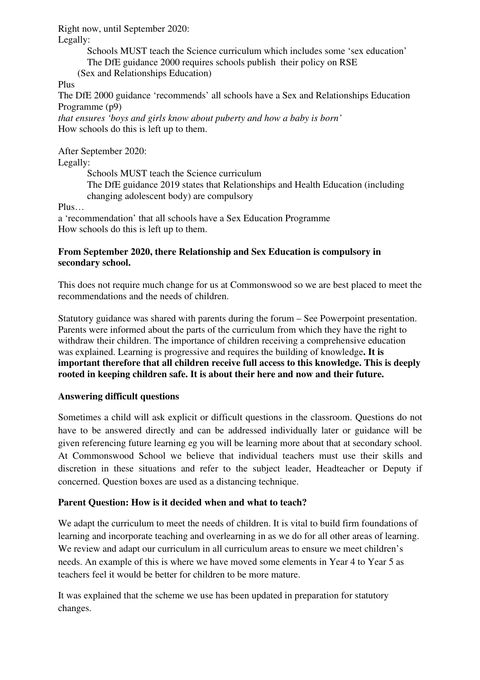Right now, until September 2020:

Legally:

Schools MUST teach the Science curriculum which includes some 'sex education' The DfE guidance 2000 requires schools publish their policy on RSE (Sex and Relationships Education)

Plus

The DfE 2000 guidance 'recommends' all schools have a Sex and Relationships Education Programme (p9)

*that ensures 'boys and girls know about puberty and how a baby is born'* How schools do this is left up to them.

After September 2020:

Legally:

Schools MUST teach the Science curriculum

The DfE guidance 2019 states that Relationships and Health Education (including changing adolescent body) are compulsory

Plus…

a 'recommendation' that all schools have a Sex Education Programme How schools do this is left up to them.

### **From September 2020, there Relationship and Sex Education is compulsory in secondary school.**

This does not require much change for us at Commonswood so we are best placed to meet the recommendations and the needs of children.

Statutory guidance was shared with parents during the forum – See Powerpoint presentation. Parents were informed about the parts of the curriculum from which they have the right to withdraw their children. The importance of children receiving a comprehensive education was explained. Learning is progressive and requires the building of knowledge**. It is important therefore that all children receive full access to this knowledge. This is deeply rooted in keeping children safe. It is about their here and now and their future.**

### **Answering difficult questions**

Sometimes a child will ask explicit or difficult questions in the classroom. Questions do not have to be answered directly and can be addressed individually later or guidance will be given referencing future learning eg you will be learning more about that at secondary school. At Commonswood School we believe that individual teachers must use their skills and discretion in these situations and refer to the subject leader, Headteacher or Deputy if concerned. Question boxes are used as a distancing technique.

### **Parent Question: How is it decided when and what to teach?**

We adapt the curriculum to meet the needs of children. It is vital to build firm foundations of learning and incorporate teaching and overlearning in as we do for all other areas of learning. We review and adapt our curriculum in all curriculum areas to ensure we meet children's needs. An example of this is where we have moved some elements in Year 4 to Year 5 as teachers feel it would be better for children to be more mature.

It was explained that the scheme we use has been updated in preparation for statutory changes.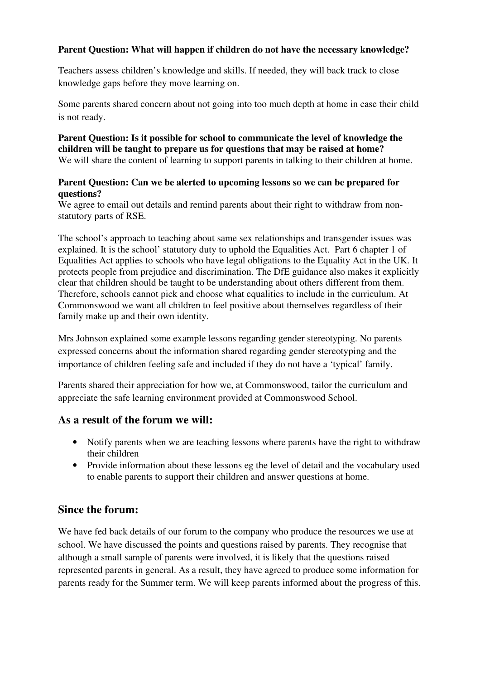### **Parent Question: What will happen if children do not have the necessary knowledge?**

Teachers assess children's knowledge and skills. If needed, they will back track to close knowledge gaps before they move learning on.

Some parents shared concern about not going into too much depth at home in case their child is not ready.

#### **Parent Question: Is it possible for school to communicate the level of knowledge the children will be taught to prepare us for questions that may be raised at home?**  We will share the content of learning to support parents in talking to their children at home.

#### **Parent Question: Can we be alerted to upcoming lessons so we can be prepared for questions?**

We agree to email out details and remind parents about their right to withdraw from nonstatutory parts of RSE.

The school's approach to teaching about same sex relationships and transgender issues was explained. It is the school' statutory duty to uphold the Equalities Act. Part 6 chapter 1 of Equalities Act applies to schools who have legal obligations to the Equality Act in the UK. It protects people from prejudice and discrimination. The DfE guidance also makes it explicitly clear that children should be taught to be understanding about others different from them. Therefore, schools cannot pick and choose what equalities to include in the curriculum. At Commonswood we want all children to feel positive about themselves regardless of their family make up and their own identity.

Mrs Johnson explained some example lessons regarding gender stereotyping. No parents expressed concerns about the information shared regarding gender stereotyping and the importance of children feeling safe and included if they do not have a 'typical' family.

Parents shared their appreciation for how we, at Commonswood, tailor the curriculum and appreciate the safe learning environment provided at Commonswood School.

# **As a result of the forum we will:**

- Notify parents when we are teaching lessons where parents have the right to withdraw their children
- Provide information about these lessons eg the level of detail and the vocabulary used to enable parents to support their children and answer questions at home.

# **Since the forum:**

We have fed back details of our forum to the company who produce the resources we use at school. We have discussed the points and questions raised by parents. They recognise that although a small sample of parents were involved, it is likely that the questions raised represented parents in general. As a result, they have agreed to produce some information for parents ready for the Summer term. We will keep parents informed about the progress of this.